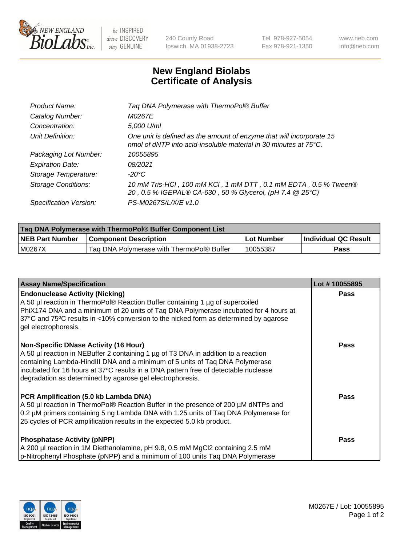

 $be$  INSPIRED drive DISCOVERY stay GENUINE

240 County Road Ipswich, MA 01938-2723 Tel 978-927-5054 Fax 978-921-1350 www.neb.com info@neb.com

## **New England Biolabs Certificate of Analysis**

| Product Name:              | Tag DNA Polymerase with ThermoPol® Buffer                                                                                                |
|----------------------------|------------------------------------------------------------------------------------------------------------------------------------------|
| Catalog Number:            | M0267E                                                                                                                                   |
| Concentration:             | 5,000 U/ml                                                                                                                               |
| Unit Definition:           | One unit is defined as the amount of enzyme that will incorporate 15<br>nmol of dNTP into acid-insoluble material in 30 minutes at 75°C. |
| Packaging Lot Number:      | 10055895                                                                                                                                 |
| <b>Expiration Date:</b>    | 08/2021                                                                                                                                  |
| Storage Temperature:       | $-20^{\circ}$ C                                                                                                                          |
| <b>Storage Conditions:</b> | 10 mM Tris-HCl, 100 mM KCl, 1 mM DTT, 0.1 mM EDTA, 0.5 % Tween®<br>20, 0.5 % IGEPAL® CA-630, 50 % Glycerol, (pH 7.4 @ 25°C)              |
| Specification Version:     | PS-M0267S/L/X/E v1.0                                                                                                                     |

| Taq DNA Polymerase with ThermoPol® Buffer Component List |                                           |            |                      |  |
|----------------------------------------------------------|-------------------------------------------|------------|----------------------|--|
| <b>NEB Part Number</b>                                   | <b>Component Description</b>              | Lot Number | Individual QC Result |  |
| M0267X                                                   | Tag DNA Polymerase with ThermoPol® Buffer | 10055387   | Pass                 |  |

| <b>Assay Name/Specification</b>                                                                                                                                                                                                                                                                                                                                        | Lot #10055895 |
|------------------------------------------------------------------------------------------------------------------------------------------------------------------------------------------------------------------------------------------------------------------------------------------------------------------------------------------------------------------------|---------------|
| <b>Endonuclease Activity (Nicking)</b><br>A 50 µl reaction in ThermoPol® Reaction Buffer containing 1 µg of supercoiled<br>PhiX174 DNA and a minimum of 20 units of Tag DNA Polymerase incubated for 4 hours at<br>37°C and 75°C results in <10% conversion to the nicked form as determined by agarose<br>gel electrophoresis.                                        | <b>Pass</b>   |
| <b>Non-Specific DNase Activity (16 Hour)</b><br>A 50 µl reaction in NEBuffer 2 containing 1 µg of T3 DNA in addition to a reaction<br>containing Lambda-HindIII DNA and a minimum of 5 units of Taq DNA Polymerase<br>incubated for 16 hours at 37°C results in a DNA pattern free of detectable nuclease<br>degradation as determined by agarose gel electrophoresis. | <b>Pass</b>   |
| PCR Amplification (5.0 kb Lambda DNA)<br>A 50 µl reaction in ThermoPol® Reaction Buffer in the presence of 200 µM dNTPs and<br>0.2 µM primers containing 5 ng Lambda DNA with 1.25 units of Taq DNA Polymerase for<br>25 cycles of PCR amplification results in the expected 5.0 kb product.                                                                           | Pass          |
| <b>Phosphatase Activity (pNPP)</b><br>A 200 µl reaction in 1M Diethanolamine, pH 9.8, 0.5 mM MgCl2 containing 2.5 mM<br>p-Nitrophenyl Phosphate (pNPP) and a minimum of 100 units Taq DNA Polymerase                                                                                                                                                                   | <b>Pass</b>   |